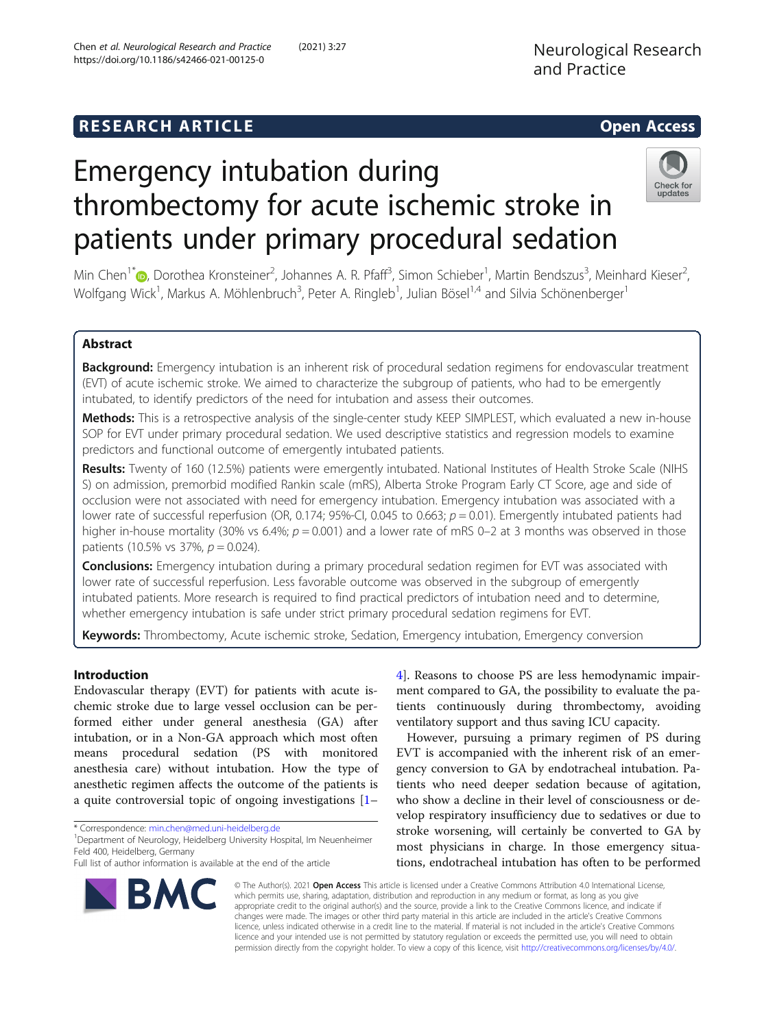## **RESEARCH ARTICLE Example 2014 12:30 The SEAR CH ACCESS**

# Emergency intubation during thrombectomy for acute ischemic stroke in patients under primary procedural sedation



Min Chen<sup>1[\\*](http://orcid.org/0000-0001-9079-9298)</sup>®, Dorothea Kronsteiner<sup>2</sup>, Johannes A. R. Pfaff<sup>3</sup>, Simon Schieber<sup>1</sup>, Martin Bendszus<sup>3</sup>, Meinhard Kieser<sup>2</sup> .<br>, Wolfgang Wick<sup>1</sup>, Markus A. Möhlenbruch<sup>3</sup>, Peter A. Ringleb<sup>1</sup>, Julian Bösel<sup>1,4</sup> and Silvia Schönenberger<sup>1</sup>

### Abstract

Background: Emergency intubation is an inherent risk of procedural sedation regimens for endovascular treatment (EVT) of acute ischemic stroke. We aimed to characterize the subgroup of patients, who had to be emergently intubated, to identify predictors of the need for intubation and assess their outcomes.

Methods: This is a retrospective analysis of the single-center study KEEP SIMPLEST, which evaluated a new in-house SOP for EVT under primary procedural sedation. We used descriptive statistics and regression models to examine predictors and functional outcome of emergently intubated patients.

Results: Twenty of 160 (12.5%) patients were emergently intubated. National Institutes of Health Stroke Scale (NIHS S) on admission, premorbid modified Rankin scale (mRS), Alberta Stroke Program Early CT Score, age and side of occlusion were not associated with need for emergency intubation. Emergency intubation was associated with a lower rate of successful reperfusion (OR, 0.174; 95%-CI, 0.045 to 0.663;  $p = 0.01$ ). Emergently intubated patients had higher in-house mortality (30% vs 6.4%;  $p = 0.001$ ) and a lower rate of mRS 0–2 at 3 months was observed in those patients (10.5% vs 37%,  $p = 0.024$ ).

**Conclusions:** Emergency intubation during a primary procedural sedation regimen for EVT was associated with lower rate of successful reperfusion. Less favorable outcome was observed in the subgroup of emergently intubated patients. More research is required to find practical predictors of intubation need and to determine, whether emergency intubation is safe under strict primary procedural sedation regimens for EVT.

Keywords: Thrombectomy, Acute ischemic stroke, Sedation, Emergency intubation, Emergency conversion

#### Introduction

Endovascular therapy (EVT) for patients with acute ischemic stroke due to large vessel occlusion can be performed either under general anesthesia (GA) after intubation, or in a Non-GA approach which most often means procedural sedation (PS with monitored anesthesia care) without intubation. How the type of anesthetic regimen affects the outcome of the patients is a quite controversial topic of ongoing investigations [[1](#page-6-0)–

\* Correspondence: [min.chen@med.uni-heidelberg.de](mailto:min.chen@med.uni-heidelberg.de) <sup>1</sup>

[4\]](#page-7-0). Reasons to choose PS are less hemodynamic impairment compared to GA, the possibility to evaluate the patients continuously during thrombectomy, avoiding ventilatory support and thus saving ICU capacity.

However, pursuing a primary regimen of PS during EVT is accompanied with the inherent risk of an emergency conversion to GA by endotracheal intubation. Patients who need deeper sedation because of agitation, who show a decline in their level of consciousness or develop respiratory insufficiency due to sedatives or due to stroke worsening, will certainly be converted to GA by most physicians in charge. In those emergency situations, endotracheal intubation has often to be performed



© The Author(s). 2021 Open Access This article is licensed under a Creative Commons Attribution 4.0 International License, which permits use, sharing, adaptation, distribution and reproduction in any medium or format, as long as you give appropriate credit to the original author(s) and the source, provide a link to the Creative Commons licence, and indicate if changes were made. The images or other third party material in this article are included in the article's Creative Commons licence, unless indicated otherwise in a credit line to the material. If material is not included in the article's Creative Commons licence and your intended use is not permitted by statutory regulation or exceeds the permitted use, you will need to obtain permission directly from the copyright holder. To view a copy of this licence, visit [http://creativecommons.org/licenses/by/4.0/.](http://creativecommons.org/licenses/by/4.0/)

<sup>&</sup>lt;sup>1</sup> Department of Neurology, Heidelberg University Hospital, Im Neuenheimer Feld 400, Heidelberg, Germany

Full list of author information is available at the end of the article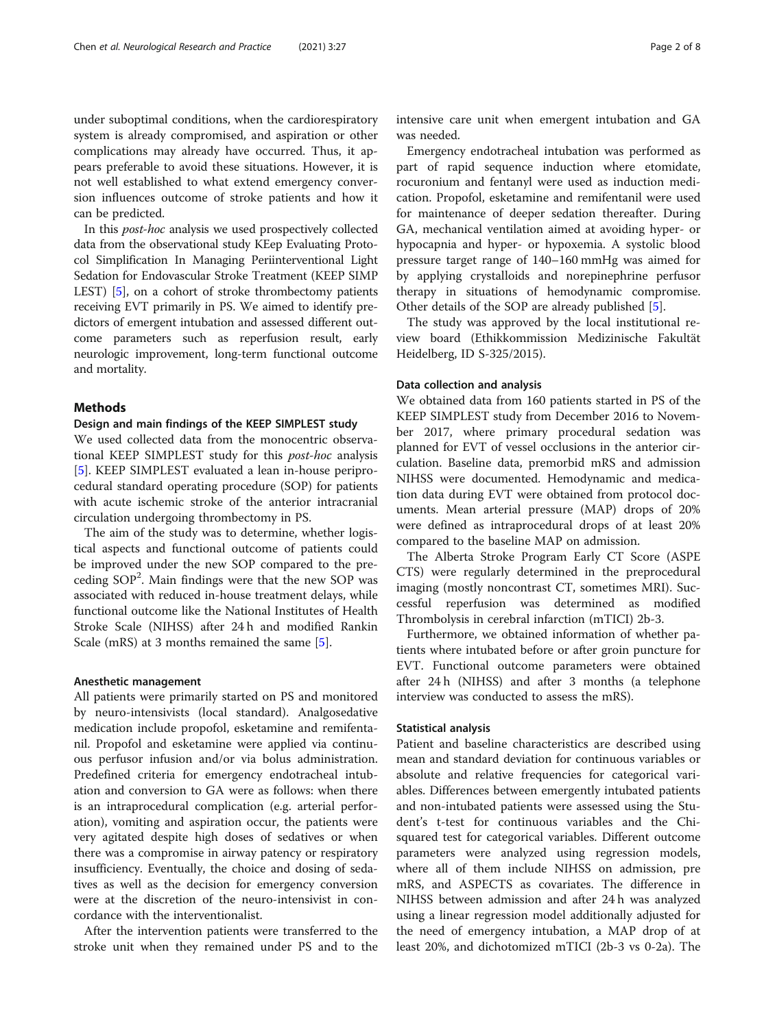under suboptimal conditions, when the cardiorespiratory system is already compromised, and aspiration or other complications may already have occurred. Thus, it appears preferable to avoid these situations. However, it is not well established to what extend emergency conversion influences outcome of stroke patients and how it can be predicted.

In this post-hoc analysis we used prospectively collected data from the observational study KEep Evaluating Protocol Simplification In Managing Periinterventional Light Sedation for Endovascular Stroke Treatment (KEEP SIMP LEST) [\[5\]](#page-7-0), on a cohort of stroke thrombectomy patients receiving EVT primarily in PS. We aimed to identify predictors of emergent intubation and assessed different outcome parameters such as reperfusion result, early neurologic improvement, long-term functional outcome and mortality.

#### Methods

#### Design and main findings of the KEEP SIMPLEST study

We used collected data from the monocentric observational KEEP SIMPLEST study for this post-hoc analysis [[5\]](#page-7-0). KEEP SIMPLEST evaluated a lean in-house periprocedural standard operating procedure (SOP) for patients with acute ischemic stroke of the anterior intracranial circulation undergoing thrombectomy in PS.

The aim of the study was to determine, whether logistical aspects and functional outcome of patients could be improved under the new SOP compared to the preceding SOP<sup>2</sup>. Main findings were that the new SOP was associated with reduced in-house treatment delays, while functional outcome like the National Institutes of Health Stroke Scale (NIHSS) after 24 h and modified Rankin Scale (mRS) at 3 months remained the same [\[5\]](#page-7-0).

#### Anesthetic management

All patients were primarily started on PS and monitored by neuro-intensivists (local standard). Analgosedative medication include propofol, esketamine and remifentanil. Propofol and esketamine were applied via continuous perfusor infusion and/or via bolus administration. Predefined criteria for emergency endotracheal intubation and conversion to GA were as follows: when there is an intraprocedural complication (e.g. arterial perforation), vomiting and aspiration occur, the patients were very agitated despite high doses of sedatives or when there was a compromise in airway patency or respiratory insufficiency. Eventually, the choice and dosing of sedatives as well as the decision for emergency conversion were at the discretion of the neuro-intensivist in concordance with the interventionalist.

After the intervention patients were transferred to the stroke unit when they remained under PS and to the intensive care unit when emergent intubation and GA was needed.

Emergency endotracheal intubation was performed as part of rapid sequence induction where etomidate, rocuronium and fentanyl were used as induction medication. Propofol, esketamine and remifentanil were used for maintenance of deeper sedation thereafter. During GA, mechanical ventilation aimed at avoiding hyper- or hypocapnia and hyper- or hypoxemia. A systolic blood pressure target range of 140–160 mmHg was aimed for by applying crystalloids and norepinephrine perfusor therapy in situations of hemodynamic compromise. Other details of the SOP are already published [[5\]](#page-7-0).

The study was approved by the local institutional review board (Ethikkommission Medizinische Fakultät Heidelberg, ID S-325/2015).

#### Data collection and analysis

We obtained data from 160 patients started in PS of the KEEP SIMPLEST study from December 2016 to November 2017, where primary procedural sedation was planned for EVT of vessel occlusions in the anterior circulation. Baseline data, premorbid mRS and admission NIHSS were documented. Hemodynamic and medication data during EVT were obtained from protocol documents. Mean arterial pressure (MAP) drops of 20% were defined as intraprocedural drops of at least 20% compared to the baseline MAP on admission.

The Alberta Stroke Program Early CT Score (ASPE CTS) were regularly determined in the preprocedural imaging (mostly noncontrast CT, sometimes MRI). Successful reperfusion was determined as modified Thrombolysis in cerebral infarction (mTICI) 2b-3.

Furthermore, we obtained information of whether patients where intubated before or after groin puncture for EVT. Functional outcome parameters were obtained after 24 h (NIHSS) and after 3 months (a telephone interview was conducted to assess the mRS).

#### Statistical analysis

Patient and baseline characteristics are described using mean and standard deviation for continuous variables or absolute and relative frequencies for categorical variables. Differences between emergently intubated patients and non-intubated patients were assessed using the Student's t-test for continuous variables and the Chisquared test for categorical variables. Different outcome parameters were analyzed using regression models, where all of them include NIHSS on admission, pre mRS, and ASPECTS as covariates. The difference in NIHSS between admission and after 24 h was analyzed using a linear regression model additionally adjusted for the need of emergency intubation, a MAP drop of at least 20%, and dichotomized mTICI (2b-3 vs 0-2a). The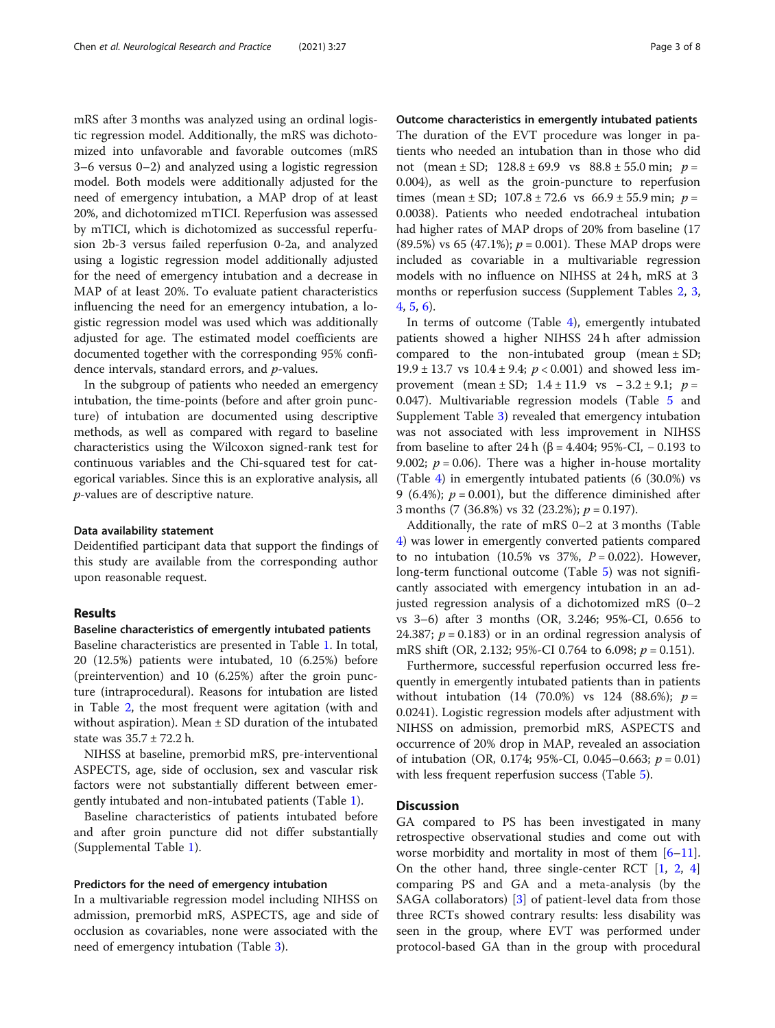mRS after 3 months was analyzed using an ordinal logistic regression model. Additionally, the mRS was dichotomized into unfavorable and favorable outcomes (mRS 3–6 versus 0–2) and analyzed using a logistic regression model. Both models were additionally adjusted for the need of emergency intubation, a MAP drop of at least 20%, and dichotomized mTICI. Reperfusion was assessed by mTICI, which is dichotomized as successful reperfusion 2b-3 versus failed reperfusion 0-2a, and analyzed using a logistic regression model additionally adjusted for the need of emergency intubation and a decrease in MAP of at least 20%. To evaluate patient characteristics influencing the need for an emergency intubation, a logistic regression model was used which was additionally adjusted for age. The estimated model coefficients are documented together with the corresponding 95% confidence intervals, standard errors, and p-values.

In the subgroup of patients who needed an emergency intubation, the time-points (before and after groin puncture) of intubation are documented using descriptive methods, as well as compared with regard to baseline characteristics using the Wilcoxon signed-rank test for continuous variables and the Chi-squared test for categorical variables. Since this is an explorative analysis, all p-values are of descriptive nature.

#### Data availability statement

Deidentified participant data that support the findings of this study are available from the corresponding author upon reasonable request.

#### Results

#### Baseline characteristics of emergently intubated patients

Baseline characteristics are presented in Table [1](#page-3-0). In total, 20 (12.5%) patients were intubated, 10 (6.25%) before (preintervention) and 10 (6.25%) after the groin puncture (intraprocedural). Reasons for intubation are listed in Table [2,](#page-3-0) the most frequent were agitation (with and without aspiration). Mean ± SD duration of the intubated state was 35.7 ± 72.2 h.

NIHSS at baseline, premorbid mRS, pre-interventional ASPECTS, age, side of occlusion, sex and vascular risk factors were not substantially different between emergently intubated and non-intubated patients (Table [1](#page-3-0)).

Baseline characteristics of patients intubated before and after groin puncture did not differ substantially (Supplemental Table [1](#page-6-0)).

#### Predictors for the need of emergency intubation

In a multivariable regression model including NIHSS on admission, premorbid mRS, ASPECTS, age and side of occlusion as covariables, none were associated with the need of emergency intubation (Table [3](#page-3-0)).

Outcome characteristics in emergently intubated patients The duration of the EVT procedure was longer in patients who needed an intubation than in those who did not (mean  $\pm$  SD; 128.8  $\pm$  69.9 vs 88.8  $\pm$  55.0 min; p = 0.004), as well as the groin-puncture to reperfusion times (mean  $\pm$  SD; 107.8  $\pm$  72.6 vs 66.9  $\pm$  55.9 min; p = 0.0038). Patients who needed endotracheal intubation had higher rates of MAP drops of 20% from baseline (17 (89.5%) vs 65 (47.1%);  $p = 0.001$ ). These MAP drops were included as covariable in a multivariable regression models with no influence on NIHSS at 24 h, mRS at 3 months or reperfusion success (Supplement Tables [2,](#page-6-0) [3](#page-6-0), [4,](#page-6-0) [5,](#page-6-0) [6\)](#page-6-0).

In terms of outcome (Table [4\)](#page-4-0), emergently intubated patients showed a higher NIHSS 24 h after admission compared to the non-intubated group (mean ± SD; 19.9  $\pm$  13.7 vs 10.4  $\pm$  9.4;  $p < 0.001$ ) and showed less improvement (mean ± SD;  $1.4 \pm 11.9$  vs  $-3.2 \pm 9.1$ ;  $p =$ 0.047). Multivariable regression models (Table [5](#page-4-0) and Supplement Table [3\)](#page-6-0) revealed that emergency intubation was not associated with less improvement in NIHSS from baseline to after 24 h (β = 4.404; 95%-CI, – 0.193 to 9.002;  $p = 0.06$ ). There was a higher in-house mortality (Table [4](#page-4-0)) in emergently intubated patients (6 (30.0%) vs 9 (6.4%);  $p = 0.001$ ), but the difference diminished after 3 months (7 (36.8%) vs 32 (23.2%);  $p = 0.197$ ).

Additionally, the rate of mRS 0–2 at 3 months (Table [4\)](#page-4-0) was lower in emergently converted patients compared to no intubation (10.5% vs 37%,  $P = 0.022$ ). However, long-term functional outcome (Table [5\)](#page-4-0) was not significantly associated with emergency intubation in an adjusted regression analysis of a dichotomized mRS (0–2 vs 3–6) after 3 months (OR, 3.246; 95%-CI, 0.656 to 24.387;  $p = 0.183$ ) or in an ordinal regression analysis of mRS shift (OR, 2.132; 95%-CI 0.764 to 6.098;  $p = 0.151$ ).

Furthermore, successful reperfusion occurred less frequently in emergently intubated patients than in patients without intubation  $(14 \ (70.0\%)$  vs  $124 \ (88.6\%)$ ;  $p =$ 0.0241). Logistic regression models after adjustment with NIHSS on admission, premorbid mRS, ASPECTS and occurrence of 20% drop in MAP, revealed an association of intubation (OR, 0.174; 95%-CI, 0.045–0.663;  $p = 0.01$ ) with less frequent reperfusion success (Table [5\)](#page-4-0).

#### **Discussion**

GA compared to PS has been investigated in many retrospective observational studies and come out with worse morbidity and mortality in most of them  $[6-11]$  $[6-11]$  $[6-11]$  $[6-11]$  $[6-11]$ . On the other hand, three single-center RCT [\[1](#page-6-0), [2](#page-6-0), [4](#page-7-0)] comparing PS and GA and a meta-analysis (by the SAGA collaborators) [[3\]](#page-7-0) of patient-level data from those three RCTs showed contrary results: less disability was seen in the group, where EVT was performed under protocol-based GA than in the group with procedural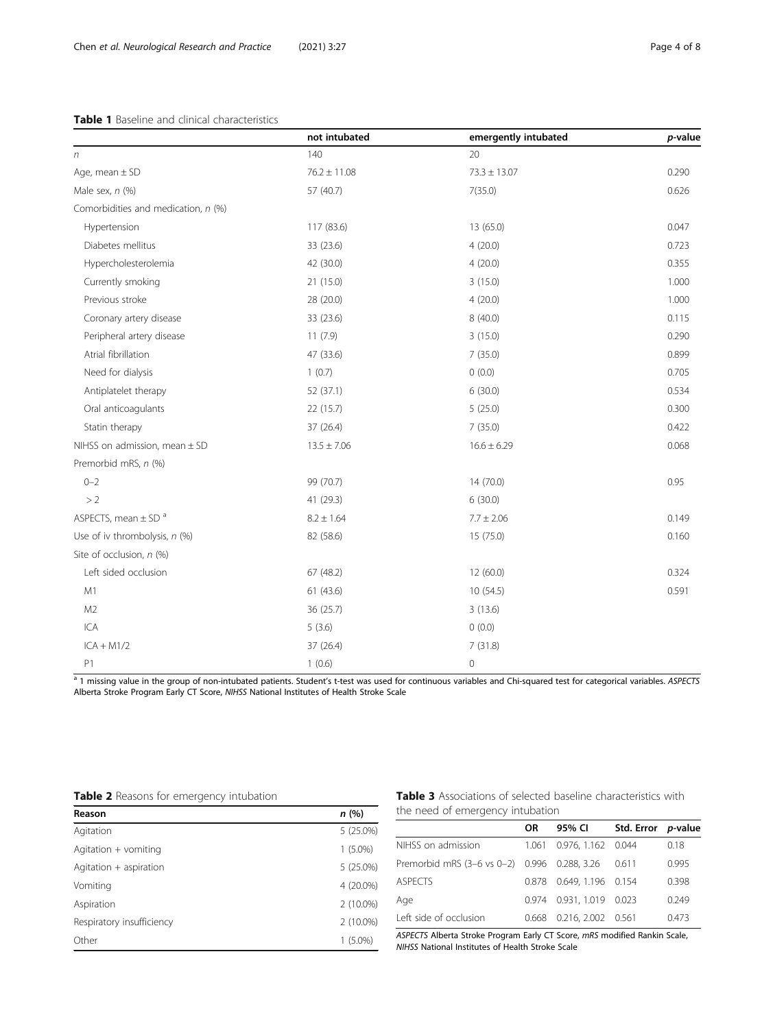#### <span id="page-3-0"></span>Table 1 Baseline and clinical characteristics

|                                     | not intubated    | emergently intubated | p-value |
|-------------------------------------|------------------|----------------------|---------|
| $\sqrt{n}$                          | 140              | 20                   |         |
| Age, mean $\pm$ SD                  | $76.2 \pm 11.08$ | $73.3 \pm 13.07$     | 0.290   |
| Male sex, $n$ $(\%)$                | 57 (40.7)        | 7(35.0)              | 0.626   |
| Comorbidities and medication, n (%) |                  |                      |         |
| Hypertension                        | 117 (83.6)       | 13 (65.0)            | 0.047   |
| Diabetes mellitus                   | 33 (23.6)        | 4(20.0)              | 0.723   |
| Hypercholesterolemia                | 42 (30.0)        | 4(20.0)              | 0.355   |
| Currently smoking                   | 21 (15.0)        | 3(15.0)              | 1.000   |
| Previous stroke                     | 28 (20.0)        | 4(20.0)              | 1.000   |
| Coronary artery disease             | 33 (23.6)        | 8(40.0)              | 0.115   |
| Peripheral artery disease           | 11(7.9)          | 3(15.0)              | 0.290   |
| Atrial fibrillation                 | 47 (33.6)        | 7(35.0)              | 0.899   |
| Need for dialysis                   | 1(0.7)           | 0(0.0)               | 0.705   |
| Antiplatelet therapy                | 52 (37.1)        | 6(30.0)              | 0.534   |
| Oral anticoagulants                 | 22 (15.7)        | 5(25.0)              | 0.300   |
| Statin therapy                      | 37 (26.4)        | 7(35.0)              | 0.422   |
| NIHSS on admission, mean ± SD       | $13.5 \pm 7.06$  | $16.6 \pm 6.29$      | 0.068   |
| Premorbid mRS, n (%)                |                  |                      |         |
| $0 - 2$                             | 99 (70.7)        | 14 (70.0)            | 0.95    |
| >2                                  | 41 (29.3)        | 6(30.0)              |         |
| ASPECTS, mean $\pm$ SD <sup>a</sup> | $8.2 \pm 1.64$   | $7.7 \pm 2.06$       | 0.149   |
| Use of iv thrombolysis, n (%)       | 82 (58.6)        | 15 (75.0)            | 0.160   |
| Site of occlusion, n (%)            |                  |                      |         |
| Left sided occlusion                | 67(48.2)         | 12(60.0)             | 0.324   |
| M1                                  | 61(43.6)         | 10(54.5)             | 0.591   |
| M <sub>2</sub>                      | 36 (25.7)        | 3(13.6)              |         |
| ICA                                 | 5(3.6)           | 0(0.0)               |         |
| $ICA + M1/2$                        | 37 (26.4)        | 7(31.8)              |         |
| P <sub>1</sub>                      | 1(0.6)           | 0                    |         |

a 1 missing value in the group of non-intubated patients. Student's t-test was used for continuous variables and Chi-squared test for categorical variables. ASPECTS Alberta Stroke Program Early CT Score, NIHSS National Institutes of Health Stroke Scale

|  |  |  |  | Table 2 Reasons for emergency intubation |  |
|--|--|--|--|------------------------------------------|--|
|--|--|--|--|------------------------------------------|--|

| Reason                    | n(%)        |
|---------------------------|-------------|
| Agitation                 | $5(25.0\%)$ |
| Agitation + vomiting      | $1(5.0\%)$  |
| Agitation + aspiration    | $5(25.0\%)$ |
| Vomiting                  | 4 (20.0%)   |
| Aspiration                | $2(10.0\%)$ |
| Respiratory insufficiency | 2 (10.0%)   |
| Other                     | $1(5.0\%)$  |

Table 3 Associations of selected baseline characteristics with the need of emergency intubation

|                                              | 0R    | 95% CI                   | Std. Error p-value |       |
|----------------------------------------------|-------|--------------------------|--------------------|-------|
| NIHSS on admission                           | 1.061 | 0.976.1.162 0.044        |                    | 0.18  |
| Premorbid mRS (3-6 vs 0-2) 0.996 0.288, 3.26 |       |                          | 0.611              | 0.995 |
| <b>ASPECTS</b>                               |       | 0.878 0.649, 1.196 0.154 |                    | 0.398 |
| Age                                          |       | 0.974 0.931, 1.019 0.023 |                    | 0.249 |
| Left side of occlusion                       |       | 0.668 0.216, 2.002 0.561 |                    | 0.473 |

ASPECTS Alberta Stroke Program Early CT Score, mRS modified Rankin Scale, NIHSS National Institutes of Health Stroke Scale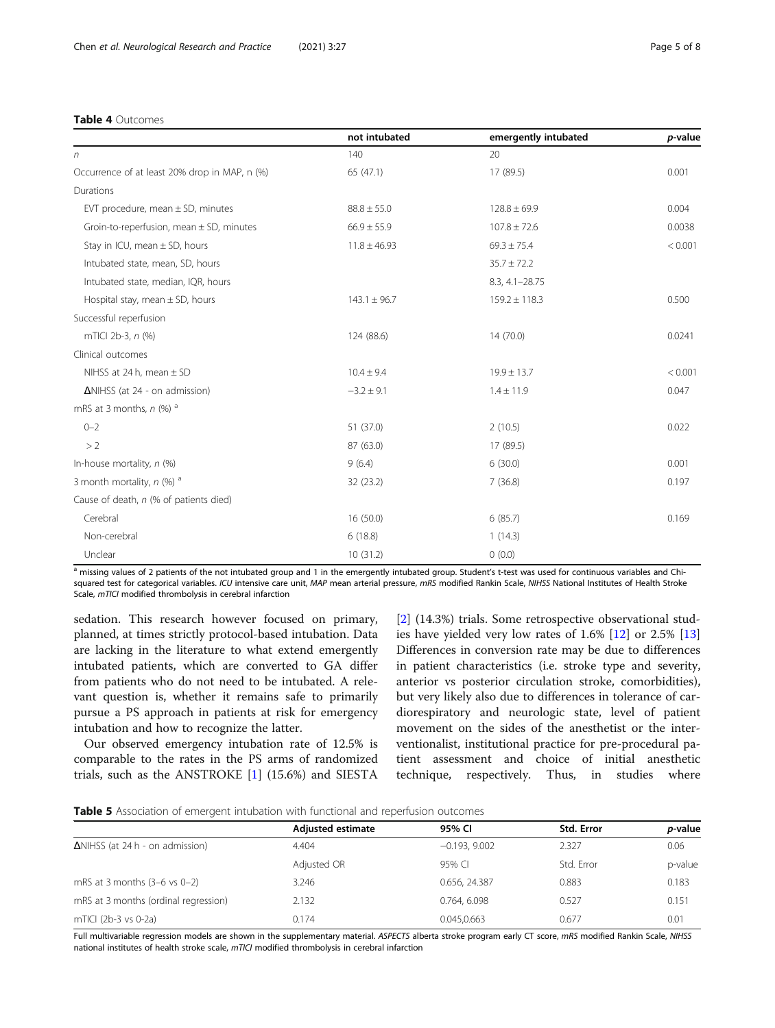#### <span id="page-4-0"></span>Table 4 Outcomes

|                                               | not intubated    | emergently intubated | p-value |
|-----------------------------------------------|------------------|----------------------|---------|
| n                                             | 140              | 20                   |         |
| Occurrence of at least 20% drop in MAP, n (%) | 65 (47.1)        | 17 (89.5)            | 0.001   |
| Durations                                     |                  |                      |         |
| EVT procedure, mean $\pm$ SD, minutes         | $88.8 \pm 55.0$  | $128.8 \pm 69.9$     | 0.004   |
| Groin-to-reperfusion, mean $\pm$ SD, minutes  | $66.9 \pm 55.9$  | $107.8 \pm 72.6$     | 0.0038  |
| Stay in ICU, mean ± SD, hours                 | $11.8 \pm 46.93$ | $69.3 \pm 75.4$      | < 0.001 |
| Intubated state, mean, SD, hours              |                  | $35.7 \pm 72.2$      |         |
| Intubated state, median, IQR, hours           |                  | 8.3, 4.1-28.75       |         |
| Hospital stay, mean $\pm$ SD, hours           | $143.1 \pm 96.7$ | $159.2 \pm 118.3$    | 0.500   |
| Successful reperfusion                        |                  |                      |         |
| mTICI 2b-3, n (%)                             | 124 (88.6)       | 14(70.0)             | 0.0241  |
| Clinical outcomes                             |                  |                      |         |
| NIHSS at 24 h, mean $\pm$ SD                  | $10.4 \pm 9.4$   | $19.9 \pm 13.7$      | < 0.001 |
| $\Delta$ NIHSS (at 24 - on admission)         | $-3.2 \pm 9.1$   | $1.4 \pm 11.9$       |         |
| mRS at 3 months, $n$ (%) $a$                  |                  |                      |         |
| $0 - 2$                                       | 51 (37.0)        | 2(10.5)              | 0.022   |
| >2                                            | 87 (63.0)        | 17 (89.5)            |         |
| In-house mortality, $n$ (%)                   | 9(6.4)           | 6(30.0)              | 0.001   |
| 3 month mortality, $n$ (%) <sup>a</sup>       | 32 (23.2)        | 7(36.8)              |         |
| Cause of death, n (% of patients died)        |                  |                      |         |
| Cerebral                                      | 16 (50.0)        | 6(85.7)              | 0.169   |
| Non-cerebral                                  | 6(18.8)          | 1(14.3)              |         |
| Unclear                                       | 10 (31.2)        | 0(0.0)               |         |

a missing values of 2 patients of the not intubated group and 1 in the emergently intubated group. Student's t-test was used for continuous variables and Chisquared test for categorical variables. ICU intensive care unit, MAP mean arterial pressure, mRS modified Rankin Scale, NIHSS National Institutes of Health Stroke Scale, mTICI modified thrombolysis in cerebral infarction

sedation. This research however focused on primary, planned, at times strictly protocol-based intubation. Data are lacking in the literature to what extend emergently intubated patients, which are converted to GA differ from patients who do not need to be intubated. A relevant question is, whether it remains safe to primarily pursue a PS approach in patients at risk for emergency intubation and how to recognize the latter.

Our observed emergency intubation rate of 12.5% is comparable to the rates in the PS arms of randomized trials, such as the ANSTROKE [\[1](#page-6-0)] (15.6%) and SIESTA

[[2\]](#page-6-0) (14.3%) trials. Some retrospective observational studies have yielded very low rates of 1.6% [\[12](#page-7-0)] or 2.5% [[13](#page-7-0)] Differences in conversion rate may be due to differences in patient characteristics (i.e. stroke type and severity, anterior vs posterior circulation stroke, comorbidities), but very likely also due to differences in tolerance of cardiorespiratory and neurologic state, level of patient movement on the sides of the anesthetist or the interventionalist, institutional practice for pre-procedural patient assessment and choice of initial anesthetic technique, respectively. Thus, in studies where

|                                         | Adjusted estimate | 95% CI          | <b>Std. Error</b> | <i>p</i> -value |
|-----------------------------------------|-------------------|-----------------|-------------------|-----------------|
| $\Delta$ NIHSS (at 24 h - on admission) | 4.404             | $-0.193, 9.002$ | 2.327             | 0.06            |
|                                         | Adjusted OR       | 95% CL          | Std. Error        | p-value         |
| mRS at 3 months $(3-6 \text{ vs } 0-2)$ | 3.246             | 0.656, 24.387   | 0.883             | 0.183           |
| mRS at 3 months (ordinal regression)    | 2.132             | 0.764, 6.098    | 0.527             | 0.151           |
| mTICI (2b-3 vs 0-2a)                    | 0.174             | 0.045.0.663     | 0.677             | 0.01            |

Full multivariable regression models are shown in the supplementary material. ASPECTS alberta stroke program early CT score, mRS modified Rankin Scale, NIHSS national institutes of health stroke scale, mTICI modified thrombolysis in cerebral infarction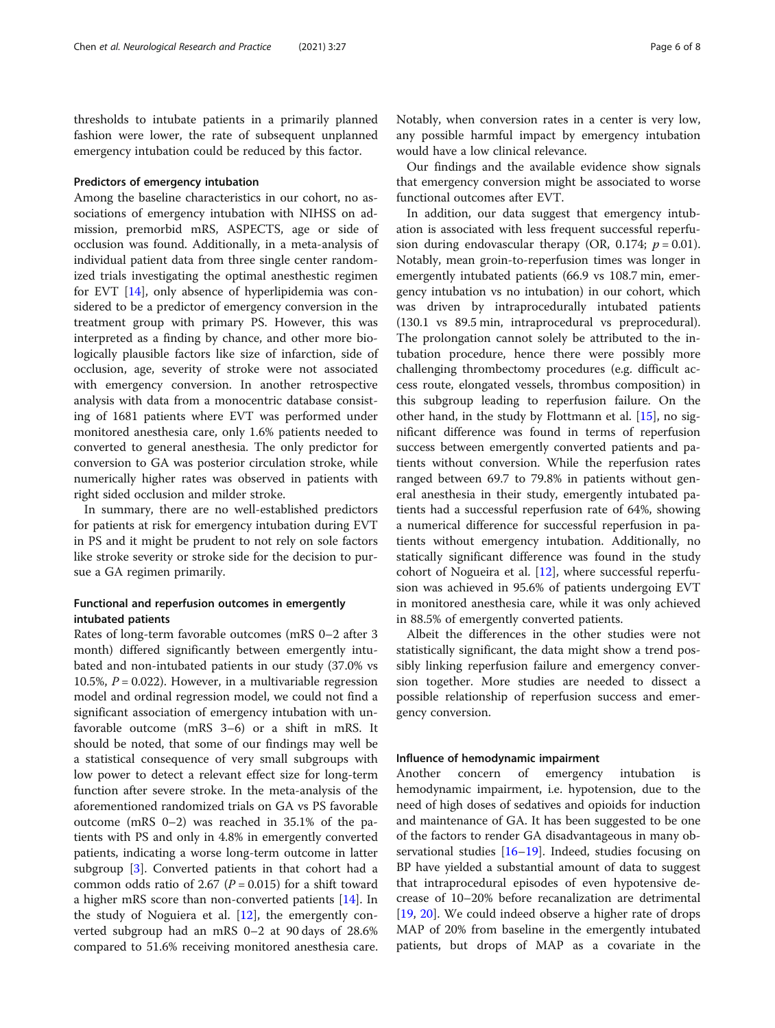thresholds to intubate patients in a primarily planned fashion were lower, the rate of subsequent unplanned emergency intubation could be reduced by this factor.

#### Predictors of emergency intubation

Among the baseline characteristics in our cohort, no associations of emergency intubation with NIHSS on admission, premorbid mRS, ASPECTS, age or side of occlusion was found. Additionally, in a meta-analysis of individual patient data from three single center randomized trials investigating the optimal anesthestic regimen for EVT [[14\]](#page-7-0), only absence of hyperlipidemia was considered to be a predictor of emergency conversion in the treatment group with primary PS. However, this was interpreted as a finding by chance, and other more biologically plausible factors like size of infarction, side of occlusion, age, severity of stroke were not associated with emergency conversion. In another retrospective analysis with data from a monocentric database consisting of 1681 patients where EVT was performed under monitored anesthesia care, only 1.6% patients needed to converted to general anesthesia. The only predictor for conversion to GA was posterior circulation stroke, while numerically higher rates was observed in patients with right sided occlusion and milder stroke.

In summary, there are no well-established predictors for patients at risk for emergency intubation during EVT in PS and it might be prudent to not rely on sole factors like stroke severity or stroke side for the decision to pursue a GA regimen primarily.

#### Functional and reperfusion outcomes in emergently intubated patients

Rates of long-term favorable outcomes (mRS 0–2 after 3 month) differed significantly between emergently intubated and non-intubated patients in our study (37.0% vs 10.5%,  $P = 0.022$ ). However, in a multivariable regression model and ordinal regression model, we could not find a significant association of emergency intubation with unfavorable outcome (mRS 3–6) or a shift in mRS. It should be noted, that some of our findings may well be a statistical consequence of very small subgroups with low power to detect a relevant effect size for long-term function after severe stroke. In the meta-analysis of the aforementioned randomized trials on GA vs PS favorable outcome (mRS 0–2) was reached in 35.1% of the patients with PS and only in 4.8% in emergently converted patients, indicating a worse long-term outcome in latter subgroup [[3\]](#page-7-0). Converted patients in that cohort had a common odds ratio of 2.67 ( $P = 0.015$ ) for a shift toward a higher mRS score than non-converted patients [[14](#page-7-0)]. In the study of Noguiera et al. [[12\]](#page-7-0), the emergently converted subgroup had an mRS 0–2 at 90 days of 28.6% compared to 51.6% receiving monitored anesthesia care. Notably, when conversion rates in a center is very low, any possible harmful impact by emergency intubation would have a low clinical relevance.

Our findings and the available evidence show signals that emergency conversion might be associated to worse functional outcomes after EVT.

In addition, our data suggest that emergency intubation is associated with less frequent successful reperfusion during endovascular therapy (OR, 0.174;  $p = 0.01$ ). Notably, mean groin-to-reperfusion times was longer in emergently intubated patients (66.9 vs 108.7 min, emergency intubation vs no intubation) in our cohort, which was driven by intraprocedurally intubated patients (130.1 vs 89.5 min, intraprocedural vs preprocedural). The prolongation cannot solely be attributed to the intubation procedure, hence there were possibly more challenging thrombectomy procedures (e.g. difficult access route, elongated vessels, thrombus composition) in this subgroup leading to reperfusion failure. On the other hand, in the study by Flottmann et al. [[15\]](#page-7-0), no significant difference was found in terms of reperfusion success between emergently converted patients and patients without conversion. While the reperfusion rates ranged between 69.7 to 79.8% in patients without general anesthesia in their study, emergently intubated patients had a successful reperfusion rate of 64%, showing a numerical difference for successful reperfusion in patients without emergency intubation. Additionally, no statically significant difference was found in the study cohort of Nogueira et al. [[12](#page-7-0)], where successful reperfusion was achieved in 95.6% of patients undergoing EVT in monitored anesthesia care, while it was only achieved in 88.5% of emergently converted patients.

Albeit the differences in the other studies were not statistically significant, the data might show a trend possibly linking reperfusion failure and emergency conversion together. More studies are needed to dissect a possible relationship of reperfusion success and emergency conversion.

#### Influence of hemodynamic impairment

Another concern of emergency intubation is hemodynamic impairment, i.e. hypotension, due to the need of high doses of sedatives and opioids for induction and maintenance of GA. It has been suggested to be one of the factors to render GA disadvantageous in many observational studies [\[16](#page-7-0)–[19\]](#page-7-0). Indeed, studies focusing on BP have yielded a substantial amount of data to suggest that intraprocedural episodes of even hypotensive decrease of 10–20% before recanalization are detrimental [[19,](#page-7-0) [20\]](#page-7-0). We could indeed observe a higher rate of drops MAP of 20% from baseline in the emergently intubated patients, but drops of MAP as a covariate in the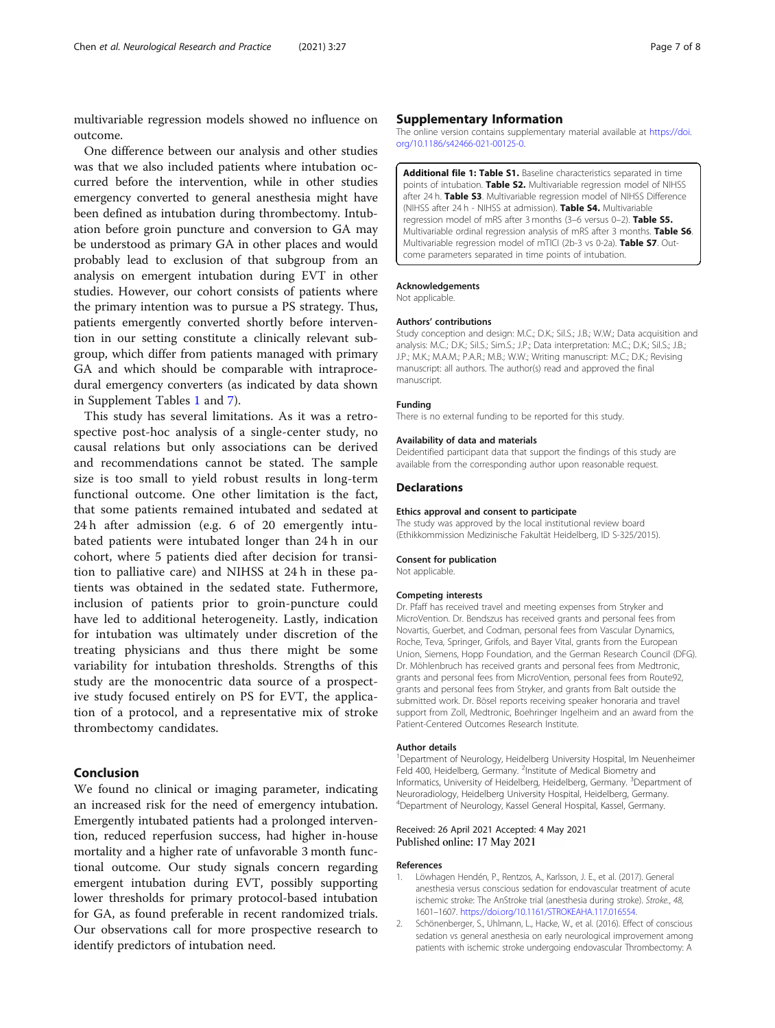<span id="page-6-0"></span>multivariable regression models showed no influence on outcome.

One difference between our analysis and other studies was that we also included patients where intubation occurred before the intervention, while in other studies emergency converted to general anesthesia might have been defined as intubation during thrombectomy. Intubation before groin puncture and conversion to GA may be understood as primary GA in other places and would probably lead to exclusion of that subgroup from an analysis on emergent intubation during EVT in other studies. However, our cohort consists of patients where the primary intention was to pursue a PS strategy. Thus, patients emergently converted shortly before intervention in our setting constitute a clinically relevant subgroup, which differ from patients managed with primary GA and which should be comparable with intraprocedural emergency converters (as indicated by data shown in Supplement Tables 1 and 7).

This study has several limitations. As it was a retrospective post-hoc analysis of a single-center study, no causal relations but only associations can be derived and recommendations cannot be stated. The sample size is too small to yield robust results in long-term functional outcome. One other limitation is the fact, that some patients remained intubated and sedated at 24 h after admission (e.g. 6 of 20 emergently intubated patients were intubated longer than 24 h in our cohort, where 5 patients died after decision for transition to palliative care) and NIHSS at 24 h in these patients was obtained in the sedated state. Futhermore, inclusion of patients prior to groin-puncture could have led to additional heterogeneity. Lastly, indication for intubation was ultimately under discretion of the treating physicians and thus there might be some variability for intubation thresholds. Strengths of this study are the monocentric data source of a prospective study focused entirely on PS for EVT, the application of a protocol, and a representative mix of stroke thrombectomy candidates.

#### Conclusion

We found no clinical or imaging parameter, indicating an increased risk for the need of emergency intubation. Emergently intubated patients had a prolonged intervention, reduced reperfusion success, had higher in-house mortality and a higher rate of unfavorable 3 month functional outcome. Our study signals concern regarding emergent intubation during EVT, possibly supporting lower thresholds for primary protocol-based intubation for GA, as found preferable in recent randomized trials. Our observations call for more prospective research to identify predictors of intubation need.

#### Supplementary Information

The online version contains supplementary material available at [https://doi.](https://doi.org/10.1186/s42466-021-00125-0) [org/10.1186/s42466-021-00125-0.](https://doi.org/10.1186/s42466-021-00125-0)

Additional file 1: Table S1. Baseline characteristics separated in time points of intubation. Table S2. Multivariable regression model of NIHSS after 24 h. Table S3. Multivariable regression model of NIHSS Difference (NIHSS after 24 h - NIHSS at admission). Table S4. Multivariable regression model of mRS after 3 months (3–6 versus 0–2). Table S5. Multivariable ordinal regression analysis of mRS after 3 months. Table S6. Multivariable regression model of mTICI (2b-3 vs 0-2a). Table S7. Outcome parameters separated in time points of intubation.

#### Acknowledgements

Not applicable.

#### Authors' contributions

Study conception and design: M.C.; D.K.; Sil.S.; J.B.; W.W.; Data acquisition and analysis: M.C.; D.K.; Sil.S.; Sim.S.; J.P.; Data interpretation: M.C.; D.K.; Sil.S.; J.B.; J.P.; M.K.; M.A.M.; P.A.R.; M.B.; W.W.; Writing manuscript: M.C.; D.K.; Revising manuscript: all authors. The author(s) read and approved the final manuscript.

#### Funding

There is no external funding to be reported for this study.

#### Availability of data and materials

Deidentified participant data that support the findings of this study are available from the corresponding author upon reasonable request.

#### Declarations

#### Ethics approval and consent to participate

The study was approved by the local institutional review board (Ethikkommission Medizinische Fakultät Heidelberg, ID S-325/2015).

#### Consent for publication

Not applicable.

#### Competing interests

Dr. Pfaff has received travel and meeting expenses from Stryker and MicroVention. Dr. Bendszus has received grants and personal fees from Novartis, Guerbet, and Codman, personal fees from Vascular Dynamics, Roche, Teva, Springer, Grifols, and Bayer Vital, grants from the European Union, Siemens, Hopp Foundation, and the German Research Council (DFG). Dr. Möhlenbruch has received grants and personal fees from Medtronic, grants and personal fees from MicroVention, personal fees from Route92, grants and personal fees from Stryker, and grants from Balt outside the submitted work. Dr. Bösel reports receiving speaker honoraria and travel support from Zoll, Medtronic, Boehringer Ingelheim and an award from the Patient-Centered Outcomes Research Institute.

#### Author details

<sup>1</sup>Department of Neurology, Heidelberg University Hospital, Im Neuenheimer Feld 400, Heidelberg, Germany. <sup>2</sup>Institute of Medical Biometry and Informatics, University of Heidelberg, Heidelberg, Germany. <sup>3</sup>Department of Neuroradiology, Heidelberg University Hospital, Heidelberg, Germany. 4 Department of Neurology, Kassel General Hospital, Kassel, Germany.

#### Received: 26 April 2021 Accepted: 4 May 2021 Published online: 17 May 2021

#### References

- 1. Löwhagen Hendén, P., Rentzos, A., Karlsson, J. E., et al. (2017). General anesthesia versus conscious sedation for endovascular treatment of acute ischemic stroke: The AnStroke trial (anesthesia during stroke). Stroke., 48, 1601–1607. [https://doi.org/10.1161/STROKEAHA.117.016554.](https://doi.org/10.1161/STROKEAHA.117.016554)
- 2. Schönenberger, S., Uhlmann, L., Hacke, W., et al. (2016). Effect of conscious sedation vs general anesthesia on early neurological improvement among patients with ischemic stroke undergoing endovascular Thrombectomy: A